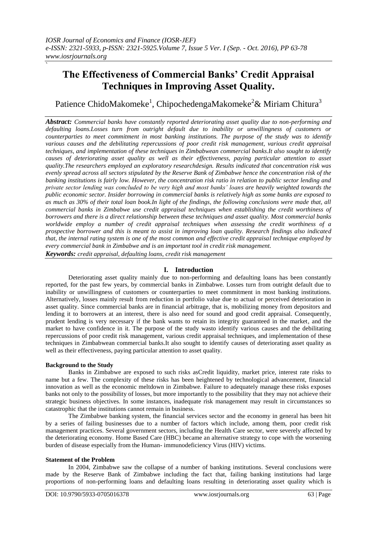# **The Effectiveness of Commercial Banks' Credit Appraisal Techniques in Improving Asset Quality.**

Patience ChidoMakomeke<sup>1</sup>, ChipochedengaMakomeke<sup>2</sup>& Miriam Chitura<sup>3</sup>

*Abstract: Commercial banks have constantly reported deteriorating asset quality due to non-performing and defaulting loans.Losses turn from outright default due to inability or unwillingness of customers or counterparties to meet commitment in most banking institutions. The purpose of the study was to identify various causes and the debilitating repercussions of poor credit risk management, various credit appraisal techniques, and implementation of these techniques in Zimbabwean commercial banks.It also sought to identify causes of deteriorating asset quality as well as their effectiveness, paying particular attention to asset quality.The researchers employed an exploratory researchdesign. Results indicated that concentration risk was evenly spread across all sectors stipulated by the Reserve Bank of Zimbabwe hence the concentration risk of the banking institutions is fairly low. However, the concentration risk ratio in relation to public sector lending and private sector lending was concluded to be very high and most banks' loans are heavily weighted towards the public economic sector. Insider borrowing in commercial banks is relatively high as some banks are exposed to as much as 30% of their total loan book.In light of the findings, the following conclusions were made that, all commercial banks in Zimbabwe use credit appraisal techniques when establishing the credit worthiness of borrowers and there is a direct relationship between these techniques and asset quality. Most commercial banks worldwide employ a number of credit appraisal techniques when assessing the credit worthiness of a prospective borrower and this is meant to assist in improving loan quality. Research findings also indicated that, the internal rating system is one of the most common and effective credit appraisal technique employed by every commercial bank in Zimbabwe and is an important tool in credit risk management.*

*Keywords: credit appraisal, defaulting loans, credit risk management*

# **I. Introduction**

Deteriorating asset quality mainly due to non-performing and defaulting loans has been constantly reported, for the past few years, by commercial banks in Zimbabwe. Losses turn from outright default due to inability or unwillingness of customers or counterparties to meet commitment in most banking institutions. Alternatively, losses mainly result from reduction in portfolio value due to actual or perceived deterioration in asset quality. Since commercial banks are in financial arbitrage, that is, mobilizing money from depositors and lending it to borrowers at an interest, there is also need for sound and good credit appraisal. Consequently, prudent lending is very necessary if the bank wants to retain its integrity guaranteed in the market, and the market to have confidence in it. The purpose of the study wasto identify various causes and the debilitating repercussions of poor credit risk management, various credit appraisal techniques, and implementation of these techniques in Zimbabwean commercial banks.It also sought to identify causes of deteriorating asset quality as well as their effectiveness, paying particular attention to asset quality.

# **Background to the Study**

**`**

Banks in Zimbabwe are exposed to such risks asCredit liquidity, market price, interest rate risks to name but a few. The complexity of these risks has been heightened by technological advancement, financial innovation as well as the economic meltdown in Zimbabwe. Failure to adequately manage these risks exposes banks not only to the possibility of losses, but more importantly to the possibility that they may not achieve their strategic business objectives. In some instances, inadequate risk management may result in circumstances so catastrophic that the institutions cannot remain in business.

The Zimbabwe banking system, the financial services sector and the economy in general has been hit by a series of failing businesses due to a number of factors which include, among them, poor credit risk management practices. Several government sectors, including the Health Care sector, were severely affected by the deteriorating economy. Home Based Care (HBC) became an alternative strategy to cope with the worsening burden of disease especially from the Human- immunodeficiency Virus (HIV) victims.

# **Statement of the Problem**

In 2004, Zimbabwe saw the collapse of a number of banking institutions. Several conclusions were made by the Reserve Bank of Zimbabwe including the fact that, failing banking institutions had large proportions of non-performing loans and defaulting loans resulting in deteriorating asset quality which is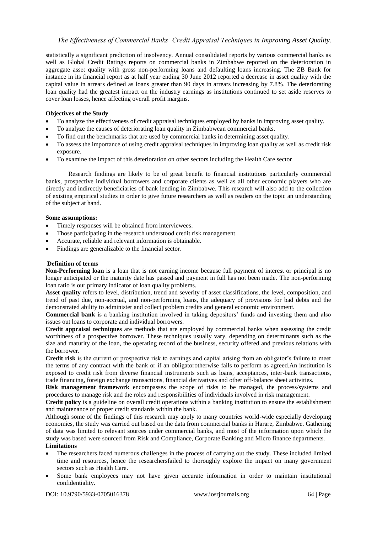statistically a significant prediction of insolvency. Annual consolidated reports by various commercial banks as well as Global Credit Ratings reports on commercial banks in Zimbabwe reported on the deterioration in aggregate asset quality with gross non-performing loans and defaulting loans increasing. The ZB Bank for instance in its financial report as at half year ending 30 June 2012 reported a decrease in asset quality with the capital value in arrears defined as loans greater than 90 days in arrears increasing by 7.8%. The deteriorating loan quality had the greatest impact on the industry earnings as institutions continued to set aside reserves to cover loan losses, hence affecting overall profit margins.

#### **Objectives of the Study**

- To analyze the effectiveness of credit appraisal techniques employed by banks in improving asset quality.
- To analyze the causes of deteriorating loan quality in Zimbabwean commercial banks.
- To find out the benchmarks that are used by commercial banks in determining asset quality.
- To assess the importance of using credit appraisal techniques in improving loan quality as well as credit risk exposure.
- To examine the impact of this deterioration on other sectors including the Health Care sector

Research findings are likely to be of great benefit to financial institutions particularly commercial banks, prospective individual borrowers and corporate clients as well as all other economic players who are directly and indirectly beneficiaries of bank lending in Zimbabwe. This research will also add to the collection of existing empirical studies in order to give future researchers as well as readers on the topic an understanding of the subject at hand.

#### **Some assumptions:**

- Timely responses will be obtained from interviewees.
- Those participating in the research understood credit risk management
- Accurate, reliable and relevant information is obtainable.
- Findings are generalizable to the financial sector.

#### **Definition of terms**

**Non-Performing loan** is a loan that is not earning income because full payment of interest or principal is no longer anticipated or the maturity date has passed and payment in full has not been made. The non-performing loan ratio is our primary indicator of loan quality problems.

**Asset quality** refers to level, distribution, trend and severity of asset classifications, the level, composition, and trend of past due, non-accrual, and non-performing loans, the adequacy of provisions for bad debts and the demonstrated ability to administer and collect problem credits and general economic environment.

**Commercial bank** is a banking institution involved in taking depositors' funds and investing them and also issues out loans to corporate and individual borrowers.

**Credit appraisal techniques** are methods that are employed by commercial banks when assessing the credit worthiness of a prospective borrower. These techniques usually vary, depending on determinants such as the size and maturity of the loan, the operating record of the business, security offered and previous relations with the borrower.

Credit risk is the current or prospective risk to earnings and capital arising from an obligator's failure to meet the terms of any contract with the bank or if an obligatorotherwise fails to perform as agreed.An institution is exposed to credit risk from diverse financial instruments such as loans, acceptances, inter-bank transactions, trade financing, foreign exchange transactions, financial derivatives and other off-balance sheet activities.

**Risk management framework** encompasses the scope of risks to be managed, the process/systems and procedures to manage risk and the roles and responsibilities of individuals involved in risk management.

**Credit policy** is a guideline on overall credit operations within a banking institution to ensure the establishment and maintenance of proper credit standards within the bank.

Although some of the findings of this research may apply to many countries world-wide especially developing economies, the study was carried out based on the data from commercial banks in Harare, Zimbabwe. Gathering of data was limited to relevant sources under commercial banks, and most of the information upon which the study was based were sourced from Risk and Compliance, Corporate Banking and Micro finance departments. **Limitations**

- The researchers faced numerous challenges in the process of carrying out the study. These included limited time and resources, hence the researchersfailed to thoroughly explore the impact on many government sectors such as Health Care.
- Some bank employees may not have given accurate information in order to maintain institutional confidentiality.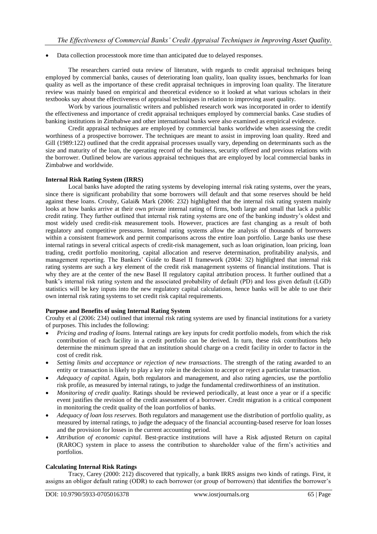• Data collection processtook more time than anticipated due to delayed responses.

The researchers carried outa review of literature, with regards to credit appraisal techniques being employed by commercial banks, causes of deteriorating loan quality, loan quality issues, benchmarks for loan quality as well as the importance of these credit appraisal techniques in improving loan quality. The literature review was mainly based on empirical and theoretical evidence so it looked at what various scholars in their textbooks say about the effectiveness of appraisal techniques in relation to improving asset quality.

Work by various journalistic writers and published research work was incorporated in order to identify the effectiveness and importance of credit appraisal techniques employed by commercial banks. Case studies of banking institutions in Zimbabwe and other international banks were also examined as empirical evidence.

Credit appraisal techniques are employed by commercial banks worldwide when assessing the credit worthiness of a prospective borrower. The techniques are meant to assist in improving loan quality. Reed and Gill (1989:122) outlined that the credit appraisal processes usually vary, depending on determinants such as the size and maturity of the loan, the operating record of the business, security offered and previous relations with the borrower. Outlined below are various appraisal techniques that are employed by local commercial banks in Zimbabwe and worldwide.

#### **Internal Risk Rating System (IRRS)**

Local banks have adopted the rating systems by developing internal risk rating systems, over the years, since there is significant probability that some borrowers will default and that some reserves should be held against these loans. Crouhy, Galai& Mark (2006: 232) highlighted that the internal risk rating system mainly looks at how banks arrive at their own private internal rating of firms, both large and small that lack a public credit rating. They further outlined that internal risk rating systems are one of the banking industry"s oldest and most widely used credit-risk measurement tools. However, practices are fast changing as a result of both regulatory and competitive pressures. Internal rating systems allow the analysis of thousands of borrowers within a consistent framework and permit comparisons across the entire loan portfolio. Large banks use these internal ratings in several critical aspects of credit-risk management, such as loan origination, loan pricing, loan trading, credit portfolio monitoring, capital allocation and reserve determination, profitability analysis, and management reporting. The Bankers" Guide to Basel II framework (2004: 32) highlighted that internal risk rating systems are such a key element of the credit risk management systems of financial institutions. That is why they are at the center of the new Basel II regulatory capital attribution process. It further outlined that a bank"s internal risk rating system and the associated probability of default (PD) and loss given default (LGD) statistics will be key inputs into the new regulatory capital calculations, hence banks will be able to use their own internal risk rating systems to set credit risk capital requirements.

#### **Purpose and Benefits of using Internal Rating System**

Crouhy et al (2006: 234) outlined that internal risk rating systems are used by financial institutions for a variety of purposes. This includes the following:

- *Pricing and trading of loans.* Internal ratings are key inputs for credit portfolio models, from which the risk contribution of each facility in a credit portfolio can be derived. In turn, these risk contributions help determine the minimum spread that an institution should charge on a credit facility in order to factor in the cost of credit risk.
- *Setting limits and acceptance or rejection of new transactions*. The strength of the rating awarded to an entity or transaction is likely to play a key role in the decision to accept or reject a particular transaction.
- *Adequacy of capital.* Again, both regulators and management, and also rating agencies, use the portfolio risk profile, as measured by internal ratings, to judge the fundamental creditworthiness of an institution.
- *Monitoring of credit quality.* Ratings should be reviewed periodically, at least once a year or if a specific event justifies the revision of the credit assessment of a borrower. Credit migration is a critical component in monitoring the credit quality of the loan portfolios of banks.
- *Adequacy of loan loss reserves.* Both regulators and management use the distribution of portfolio quality, as measured by internal ratings, to judge the adequacy of the financial accounting-based reserve for loan losses and the provision for losses in the current accounting period.
- *Attribution of economic capital.* Best-practice institutions will have a Risk adjusted Return on capital (RAROC) system in place to assess the contribution to shareholder value of the firm"s activities and portfolios.

#### **Calculating Internal Risk Ratings**

Tracy, Carey (2000: 212) discovered that typically, a bank IRRS assigns two kinds of ratings. First, it assigns an obligor default rating (ODR) to each borrower (or group of borrowers) that identifies the borrower"s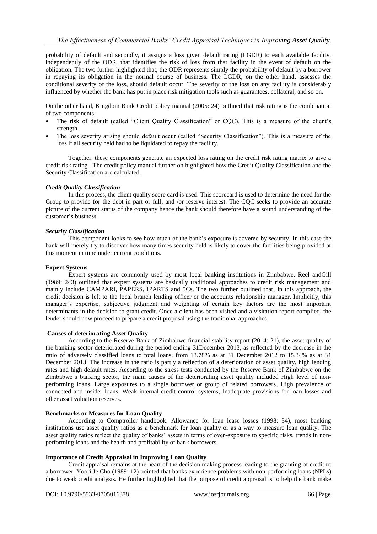probability of default and secondly, it assigns a loss given default rating (LGDR) to each available facility, independently of the ODR, that identifies the risk of loss from that facility in the event of default on the obligation. The two further highlighted that, the ODR represents simply the probability of default by a borrower in repaying its obligation in the normal course of business. The LGDR, on the other hand, assesses the conditional severity of the loss, should default occur. The severity of the loss on any facility is considerably influenced by whether the bank has put in place risk mitigation tools such as guarantees, collateral, and so on.

On the other hand, Kingdom Bank Credit policy manual (2005: 24) outlined that risk rating is the combination of two components:

- The risk of default (called "Client Quality Classification" or CQC). This is a measure of the client's strength.
- The loss severity arising should default occur (called "Security Classification"). This is a measure of the loss if all security held had to be liquidated to repay the facility.

Together, these components generate an expected loss rating on the credit risk rating matrix to give a credit risk rating. The credit policy manual further on highlighted how the Credit Quality Classification and the Security Classification are calculated.

# *Credit Quality Classification*

In this process, the client quality score card is used. This scorecard is used to determine the need for the Group to provide for the debt in part or full, and /or reserve interest. The CQC seeks to provide an accurate picture of the current status of the company hence the bank should therefore have a sound understanding of the customer's business.

#### *Security Classification*

This component looks to see how much of the bank"s exposure is covered by security. In this case the bank will merely try to discover how many times security held is likely to cover the facilities being provided at this moment in time under current conditions.

#### **Expert Systems**

Expert systems are commonly used by most local banking institutions in Zimbabwe. Reel andGill (1989: 243) outlined that expert systems are basically traditional approaches to credit risk management and mainly include CAMPARI, PAPERS, IPARTS and 5Cs. The two further outlined that, in this approach, the credit decision is left to the local branch lending officer or the accounts relationship manager. Implicitly, this manager's expertise, subjective judgment and weighting of certain key factors are the most important determinants in the decision to grant credit. Once a client has been visited and a visitation report complied, the lender should now proceed to prepare a credit proposal using the traditional approaches.

# **Causes of deteriorating Asset Quality**

According to the Reserve Bank of Zimbabwe financial stability report (2014: 21), the asset quality of the banking sector deteriorated during the period ending 31December 2013, as reflected by the decrease in the ratio of adversely classified loans to total loans, from 13.78% as at 31 December 2012 to 15.34% as at 31 December 2013. The increase in the ratio is partly a reflection of a deterioration of asset quality, high lending rates and high default rates. According to the stress tests conducted by the Reserve Bank of Zimbabwe on the Zimbabwe"s banking sector, the main causes of the deteriorating asset quality included High level of nonperforming loans, Large exposures to a single borrower or group of related borrowers, High prevalence of connected and insider loans, Weak internal credit control systems, Inadequate provisions for loan losses and other asset valuation reserves.

#### **Benchmarks or Measures for Loan Quality**

According to Comptroller handbook: Allowance for loan lease losses (1998: 34), most banking institutions use asset quality ratios as a benchmark for loan quality or as a way to measure loan quality. The asset quality ratios reflect the quality of banks' assets in terms of over-exposure to specific risks, trends in nonperforming loans and the health and profitability of bank borrowers.

# **Importance of Credit Appraisal in Improving Loan Quality**

Credit appraisal remains at the heart of the decision making process leading to the granting of credit to a borrower. Yoori Je Cho (1989: 12) pointed that banks experience problems with non-performing loans (NPLs) due to weak credit analysis. He further highlighted that the purpose of credit appraisal is to help the bank make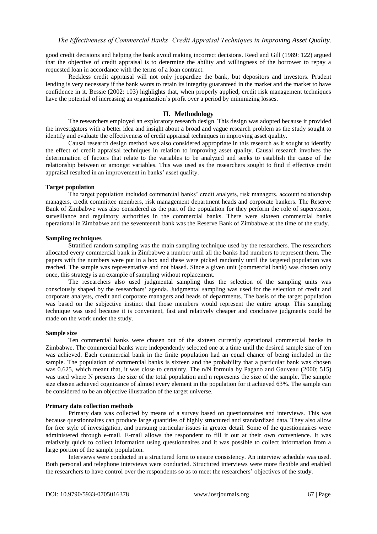good credit decisions and helping the bank avoid making incorrect decisions. Reed and Gill (1989: 122) argued that the objective of credit appraisal is to determine the ability and willingness of the borrower to repay a requested loan in accordance with the terms of a loan contract.

Reckless credit appraisal will not only jeopardize the bank, but depositors and investors. Prudent lending is very necessary if the bank wants to retain its integrity guaranteed in the market and the market to have confidence in it. Bessie (2002: 103) highlights that, when properly applied, credit risk management techniques have the potential of increasing an organization's profit over a period by minimizing losses.

# **II. Methodology**

The researchers employed an exploratory research design. This design was adopted because it provided the investigators with a better idea and insight about a broad and vague research problem as the study sought to identify and evaluate the effectiveness of credit appraisal techniques in improving asset quality.

Causal research design method was also considered appropriate in this research as it sought to identify the effect of credit appraisal techniques in relation to improving asset quality. Causal research involves the determination of factors that relate to the variables to be analyzed and seeks to establish the cause of the relationship between or amongst variables. This was used as the researchers sought to find if effective credit appraisal resulted in an improvement in banks' asset quality.

# **Target population**

The target population included commercial banks" credit analysts, risk managers, account relationship managers, credit committee members, risk management department heads and corporate bankers. The Reserve Bank of Zimbabwe was also considered as the part of the population for they perform the role of supervision, surveillance and regulatory authorities in the commercial banks. There were sixteen commercial banks operational in Zimbabwe and the seventeenth bank was the Reserve Bank of Zimbabwe at the time of the study.

#### **Sampling techniques**

Stratified random sampling was the main sampling technique used by the researchers. The researchers allocated every commercial bank in Zimbabwe a number until all the banks had numbers to represent them. The papers with the numbers were put in a box and these were picked randomly until the targeted population was reached. The sample was representative and not biased. Since a given unit (commercial bank) was chosen only once, this strategy is an example of sampling without replacement.

The researchers also used judgmental sampling thus the selection of the sampling units was consciously shaped by the researchers" agenda. Judgmental sampling was used for the selection of credit and corporate analysts, credit and corporate managers and heads of departments. The basis of the target population was based on the subjective instinct that those members would represent the entire group. This sampling technique was used because it is convenient, fast and relatively cheaper and conclusive judgments could be made on the work under the study.

#### **Sample size**

Ten commercial banks were chosen out of the sixteen currently operational commercial banks in Zimbabwe. The commercial banks were independently selected one at a time until the desired sample size of ten was achieved. Each commercial bank in the finite population had an equal chance of being included in the sample. The population of commercial banks is sixteen and the probability that a particular bank was chosen was 0.625, which meant that, it was close to certainty. The n/N formula by Pagano and Gauveau (2000; 515) was used where N presents the size of the total population and n represents the size of the sample. The sample size chosen achieved cognizance of almost every element in the population for it achieved 63%. The sample can be considered to be an objective illustration of the target universe.

#### **Primary data collection methods**

Primary data was collected by means of a survey based on questionnaires and interviews. This was because questionnaires can produce large quantities of highly structured and standardized data. They also allow for free style of investigation, and pursuing particular issues in greater detail. Some of the questionnaires were administered through e-mail. E-mail allows the respondent to fill it out at their own convenience. It was relatively quick to collect information using questionnaires and it was possible to collect information from a large portion of the sample population.

Interviews were conducted in a structured form to ensure consistency. An interview schedule was used. Both personal and telephone interviews were conducted. Structured interviews were more flexible and enabled the researchers to have control over the respondents so as to meet the researchers" objectives of the study.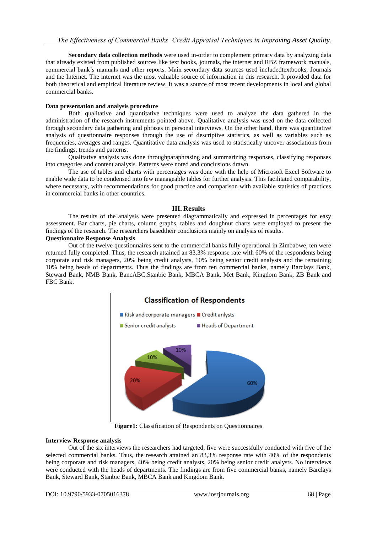**Secondary data collection methods** were used in-order to complement primary data by analyzing data that already existed from published sources like text books, journals, the internet and RBZ framework manuals, commercial bank"s manuals and other reports. Main secondary data sources used includedtextbooks, Journals and the Internet. The internet was the most valuable source of information in this research. It provided data for both theoretical and empirical literature review. It was a source of most recent developments in local and global commercial banks.

# **Data presentation and analysis procedure**

Both qualitative and quantitative techniques were used to analyze the data gathered in the administration of the research instruments pointed above. Qualitative analysis was used on the data collected through secondary data gathering and phrases in personal interviews. On the other hand, there was quantitative analysis of questionnaire responses through the use of descriptive statistics, as well as variables such as frequencies, averages and ranges. Quantitative data analysis was used to statistically uncover associations from the findings, trends and patterns.

Qualitative analysis was done throughparaphrasing and summarizing responses, classifying responses into categories and content analysis. Patterns were noted and conclusions drawn.

The use of tables and charts with percentages was done with the help of Microsoft Excel Software to enable wide data to be condensed into few manageable tables for further analysis. This facilitated comparability, where necessary, with recommendations for good practice and comparison with available statistics of practices in commercial banks in other countries.

# **III. Results**

The results of the analysis were presented diagrammatically and expressed in percentages for easy assessment. Bar charts, pie charts, column graphs, tables and doughnut charts were employed to present the findings of the research. The researchers basedtheir conclusions mainly on analysis of results.

#### **Questionnaire Response Analysis**

Out of the twelve questionnaires sent to the commercial banks fully operational in Zimbabwe, ten were returned fully completed. Thus, the research attained an 83.3% response rate with 60% of the respondents being corporate and risk managers, 20% being credit analysts, 10% being senior credit analysts and the remaining 10% being heads of departments. Thus the findings are from ten commercial banks, namely Barclays Bank, Steward Bank, NMB Bank, BancABC,Stanbic Bank, MBCA Bank, Met Bank, Kingdom Bank, ZB Bank and FBC Bank.



**Figure1:** Classification of Respondents on Questionnaires

# **Interview Response analysis**

Out of the six interviews the researchers had targeted, five were successfully conducted with five of the selected commercial banks. Thus, the research attained an 83,3% response rate with 40% of the respondents being corporate and risk managers, 40% being credit analysts, 20% being senior credit analysts. No interviews were conducted with the heads of departments. The findings are from five commercial banks, namely Barclays Bank, Steward Bank, Stanbic Bank, MBCA Bank and Kingdom Bank.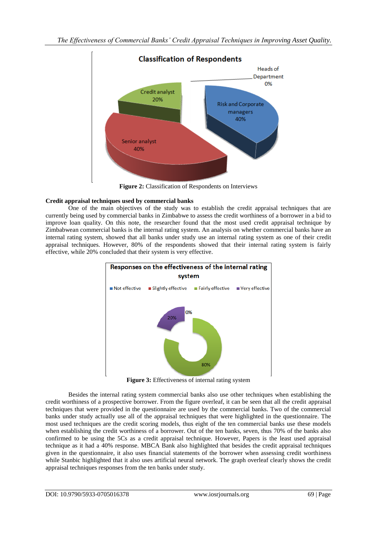

Figure 2: Classification of Respondents on Interviews

# **Credit appraisal techniques used by commercial banks**

One of the main objectives of the study was to establish the credit appraisal techniques that are currently being used by commercial banks in Zimbabwe to assess the credit worthiness of a borrower in a bid to improve loan quality. On this note, the researcher found that the most used credit appraisal technique by Zimbabwean commercial banks is the internal rating system. An analysis on whether commercial banks have an internal rating system, showed that all banks under study use an internal rating system as one of their credit appraisal techniques. However, 80% of the respondents showed that their internal rating system is fairly effective, while 20% concluded that their system is very effective.



**Figure 3:** Effectiveness of internal rating system

Besides the internal rating system commercial banks also use other techniques when establishing the credit worthiness of a prospective borrower. From the figure overleaf, it can be seen that all the credit appraisal techniques that were provided in the questionnaire are used by the commercial banks. Two of the commercial banks under study actually use all of the appraisal techniques that were highlighted in the questionnaire. The most used techniques are the credit scoring models, thus eight of the ten commercial banks use these models when establishing the credit worthiness of a borrower. Out of the ten banks, seven, thus 70% of the banks also confirmed to be using the 5Cs as a credit appraisal technique. However, Papers is the least used appraisal technique as it had a 40% response. MBCA Bank also highlighted that besides the credit appraisal techniques given in the questionnaire, it also uses financial statements of the borrower when assessing credit worthiness while Stanbic highlighted that it also uses artificial neural network. The graph overleaf clearly shows the credit appraisal techniques responses from the ten banks under study.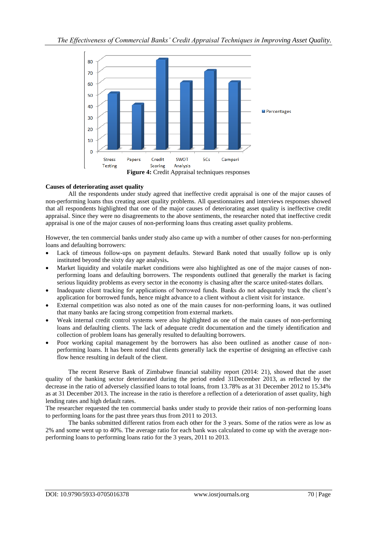

# **Causes of deteriorating asset quality**

All the respondents under study agreed that ineffective credit appraisal is one of the major causes of non-performing loans thus creating asset quality problems. All questionnaires and interviews responses showed that all respondents highlighted that one of the major causes of deteriorating asset quality is ineffective credit appraisal. Since they were no disagreements to the above sentiments, the researcher noted that ineffective credit appraisal is one of the major causes of non-performing loans thus creating asset quality problems.

However, the ten commercial banks under study also came up with a number of other causes for non-performing loans and defaulting borrowers:

- Lack of timeous follow-ups on payment defaults. Steward Bank noted that usually follow up is only instituted beyond the sixty day age analysis**.**
- Market liquidity and volatile market conditions were also highlighted as one of the major causes of nonperforming loans and defaulting borrowers. The respondents outlined that generally the market is facing serious liquidity problems as every sector in the economy is chasing after the scarce united-states dollars.
- Inadequate client tracking for applications of borrowed funds. Banks do not adequately track the client"s application for borrowed funds, hence might advance to a client without a client visit for instance.
- External competition was also noted as one of the main causes for non-performing loans, it was outlined that many banks are facing strong competition from external markets.
- Weak internal credit control systems were also highlighted as one of the main causes of non-performing loans and defaulting clients. The lack of adequate credit documentation and the timely identification and collection of problem loans has generally resulted to defaulting borrowers.
- Poor working capital management by the borrowers has also been outlined as another cause of nonperforming loans. It has been noted that clients generally lack the expertise of designing an effective cash flow hence resulting in default of the client.

The recent Reserve Bank of Zimbabwe financial stability report (2014: 21), showed that the asset quality of the banking sector deteriorated during the period ended 31December 2013, as reflected by the decrease in the ratio of adversely classified loans to total loans, from 13.78% as at 31 December 2012 to 15.34% as at 31 December 2013. The increase in the ratio is therefore a reflection of a deterioration of asset quality, high lending rates and high default rates.

The researcher requested the ten commercial banks under study to provide their ratios of non-performing loans to performing loans for the past three years thus from 2011 to 2013.

The banks submitted different ratios from each other for the 3 years. Some of the ratios were as low as 2% and some went up to 40%. The average ratio for each bank was calculated to come up with the average nonperforming loans to performing loans ratio for the 3 years, 2011 to 2013.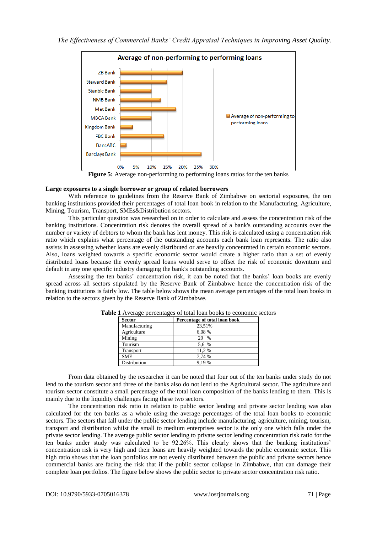

#### **Large exposures to a single borrower or group of related borrowers**

With reference to guidelines from the Reserve Bank of Zimbabwe on sectorial exposures, the ten banking institutions provided their percentages of total loan book in relation to the Manufacturing, Agriculture, Mining, Tourism, Transport, SMEs&Distribution sectors.

This particular question was researched on in order to calculate and assess the concentration risk of the banking institutions. Concentration risk denotes the overall spread of a bank's outstanding accounts over the number or variety of [debtors](file:///F:\wiki\Debtor) to whom the bank has lent money. This risk is calculated using a concentration risk ratio which explains what percentage of the outstanding accounts each [bank loan](file:///F:\wiki\Bank_loan) represents. The ratio also assists in assessing whether loans are evenly distributed or are heavily concentrated in certain economic sectors. Also, loans weighted towards a specific economic sector would create a higher ratio than a set of evenly distributed loans because the evenly spread loans would serve to offset the risk of economic downturn and [default](file:///F:\wiki\Default_(finance)) in any one specific industry damaging the bank's outstanding accounts.

Assessing the ten banks" concentration risk, it can be noted that the banks" loan books are evenly spread across all sectors stipulated by the Reserve Bank of Zimbabwe hence the concentration risk of the banking institutions is fairly low. The table below shows the mean average percentages of the total loan books in relation to the sectors given by the Reserve Bank of Zimbabwe.

| <b>Sector</b>    | Percentage of total loan book |
|------------------|-------------------------------|
| Manufacturing    | 23,51%                        |
| Agriculture      | 6,08 %                        |
| Mining           | $\frac{0}{0}$<br>29           |
| Tourism          | 5.6 %                         |
| <b>Transport</b> | 11.2%                         |
| <b>SME</b>       | 7.74 %                        |
| Distribution     | 9.19 %                        |

|  |  |  | Table 1 Average percentages of total loan books to economic sectors |
|--|--|--|---------------------------------------------------------------------|
|  |  |  |                                                                     |

From data obtained by the researcher it can be noted that four out of the ten banks under study do not lend to the tourism sector and three of the banks also do not lend to the Agricultural sector. The agriculture and tourism sector constitute a small percentage of the total loan composition of the banks lending to them. This is mainly due to the liquidity challenges facing these two sectors.

The concentration risk ratio in relation to public sector lending and private sector lending was also calculated for the ten banks as a whole using the average percentages of the total loan books to economic sectors. The sectors that fall under the public sector lending include manufacturing, agriculture, mining, tourism, transport and distribution whilst the small to medium enterprises sector is the only one which falls under the private sector lending. The average public sector lending to private sector lending concentration risk ratio for the ten banks under study was calculated to be 92.26%. This clearly shows that the banking institutions' concentration risk is very high and their loans are heavily weighted towards the public economic sector. This high ratio shows that the loan portfolios are not evenly distributed between the public and private sectors hence commercial banks are facing the risk that if the public sector collapse in Zimbabwe, that can damage their complete loan portfolios. The figure below shows the public sector to private sector concentration risk ratio.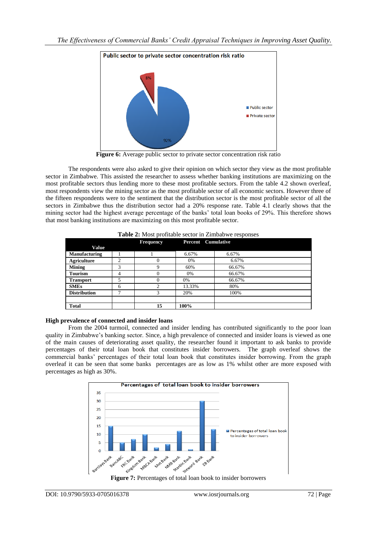

**Figure 6:** Average public sector to private sector concentration risk ratio

The respondents were also asked to give their opinion on which sector they view as the most profitable sector in Zimbabwe. This assisted the researcher to assess whether banking institutions are maximizing on the most profitable sectors thus lending more to these most profitable sectors. From the table 4.2 shown overleaf, most respondents view the mining sector as the most profitable sector of all economic sectors. However three of the fifteen respondents were to the sentiment that the distribution sector is the most profitable sector of all the sectors in Zimbabwe thus the distribution sector had a 20% response rate. Table 4.1 clearly shows that the mining sector had the highest average percentage of the banks" total loan books of 29%. This therefore shows that most banking institutions are maximizing on this most profitable sector.

|                      |        | <b>Frequency</b> | <b>Percent</b> Cumulative |        |  |
|----------------------|--------|------------------|---------------------------|--------|--|
| <b>Value</b>         |        |                  |                           |        |  |
| <b>Manufacturing</b> |        |                  | 6.67%                     | 6.67%  |  |
| Agriculture          | ↑<br>∠ |                  | 0%                        | 6.67%  |  |
| <b>Mining</b>        | 3      | 9                | 60%                       | 66.67% |  |
| <b>Tourism</b>       | 4      |                  | 0%                        | 66.67% |  |
| <b>Transport</b>     | 5      | 0                | 0%                        | 66.67% |  |
| <b>SMEs</b>          | 6      | ◠                | 13.33%                    | 80%    |  |
| <b>Distribution</b>  | 7      | 3                | 20%                       | 100%   |  |
|                      |        |                  |                           |        |  |
| Total                |        | 15               | 100%                      |        |  |

**Table 2:** Most profitable sector in Zimbabwe responses

# **High prevalence of connected and insider loans**

From the 2004 turmoil, connected and insider lending has contributed significantly to the poor loan quality in Zimbabwe"s banking sector. Since, a high prevalence of connected and insider loans is viewed as one of the main causes of deteriorating asset quality, the researcher found it important to ask banks to provide percentages of their total loan book that constitutes insider borrowers. The graph overleaf shows the commercial banks" percentages of their total loan book that constitutes insider borrowing. From the graph overleaf it can be seen that some banks percentages are as low as 1% whilst other are more exposed with percentages as high as 30%.



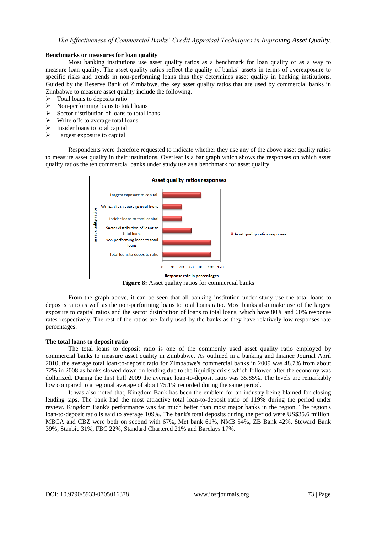#### **Benchmarks or measures for loan quality**

Most banking institutions use asset quality ratios as a benchmark for loan quality or as a way to measure loan quality. The asset quality ratios reflect the quality of banks" assets in terms of overexposure to specific risks and trends in non-performing loans thus they determines asset quality in banking institutions. Guided by the Reserve Bank of Zimbabwe, the key asset quality ratios that are used by commercial banks in Zimbabwe to measure asset quality include the following.

- Total loans to deposits ratio
- $\triangleright$  Non-performing loans to total loans
- $\triangleright$  Sector distribution of loans to total loans
- $\triangleright$  Write offs to average total loans
- $\triangleright$  Insider loans to total capital
- $\triangleright$  Largest exposure to capital

Respondents were therefore requested to indicate whether they use any of the above asset quality ratios to measure asset quality in their institutions. Overleaf is a bar graph which shows the responses on which asset quality ratios the ten commercial banks under study use as a benchmark for asset quality.



Figure 8: Asset quality ratios for commercial banks

From the graph above, it can be seen that all banking institution under study use the total loans to deposits ratio as well as the non-performing loans to total loans ratio. Most banks also make use of the largest exposure to capital ratios and the sector distribution of loans to total loans, which have 80% and 60% response rates respectively. The rest of the ratios are fairly used by the banks as they have relatively low responses rate percentages.

#### **The total loans to deposit ratio**

The total loans to deposit ratio is one of the commonly used asset quality ratio employed by commercial banks to measure asset quality in Zimbabwe. As outlined in a banking and finance Journal April 2010, the average total loan-to-deposit ratio for Zimbabwe's commercial banks in 2009 was 48.7% from about 72% in 2008 as banks slowed down on lending due to the liquidity crisis which followed after the economy was dollarized. During the first half 2009 the average loan-to-deposit ratio was 35.85%. The levels are remarkably low compared to a regional average of about 75.1% recorded during the same period.

It was also noted that, Kingdom Bank has been the emblem for an industry being blamed for closing lending taps. The bank had the most attractive total loan-to-deposit ratio of 119% during the period under review. Kingdom Bank's performance was far much better than most major banks in the region. The region's loan-to-deposit ratio is said to average 109%. The bank's total deposits during the period were US\$35.6 million. MBCA and CBZ were both on second with 67%, Met bank 61%, NMB 54%, ZB Bank 42%, Steward Bank 39%, Stanbic 31%, FBC 22%, Standard Chartered 21% and Barclays 17%.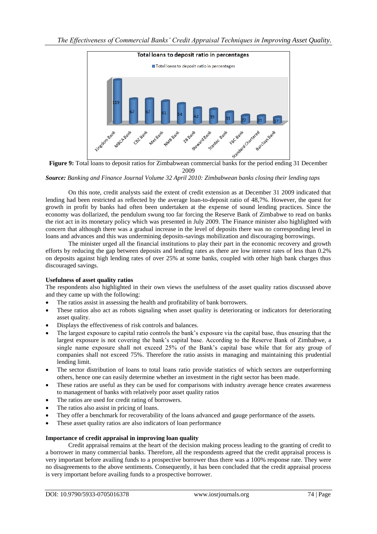

**Figure 9:** Total loans to deposit ratios for Zimbabwean commercial banks for the period ending 31 December 2009

*Source: Banking and Finance Journal Volume 32 April 2010: Zimbabwean banks closing their lending taps*

On this note, credit analysts said the extent of credit extension as at December 31 2009 indicated that lending had been restricted as reflected by the average loan-to-deposit ratio of 48,7%. However, the quest for growth in profit by banks had often been undertaken at the expense of sound lending practices. Since the economy was dollarized, the pendulum swung too far forcing the Reserve Bank of Zimbabwe to read on banks the riot act in its monetary policy which was presented in July 2009. The Finance minister also highlighted with concern that although there was a gradual increase in the level of deposits there was no corresponding level in loans and advances and this was undermining deposits-savings mobilization and discouraging borrowings.

The minister urged all the financial institutions to play their part in the economic recovery and growth efforts by reducing the gap between deposits and lending rates as there are low interest rates of less than 0.2% on deposits against high lending rates of over 25% at some banks, coupled with other high bank charges thus discouraged savings.

#### **Usefulness of asset quality ratios**

The respondents also highlighted in their own views the usefulness of the asset quality ratios discussed above and they came up with the following:

- The ratios assist in assessing the health and profitability of bank borrowers.
- These ratios also act as robots signaling when asset quality is deteriorating or indicators for deteriorating asset quality.
- Displays the effectiveness of risk controls and balances.
- The largest exposure to capital ratio controls the bank"s exposure via the capital base, thus ensuring that the largest exposure is not covering the bank"s capital base. According to the Reserve Bank of Zimbabwe, a single name exposure shall not exceed 25% of the Bank"s capital base while that for any group of companies shall not exceed 75%. Therefore the ratio assists in managing and maintaining this prudential lending limit.
- The sector distribution of loans to total loans ratio provide statistics of which sectors are outperforming others, hence one can easily determine whether an investment in the right sector has been made.
- These ratios are useful as they can be used for comparisons with industry average hence creates awareness to management of banks with relatively poor asset quality ratios
- The ratios are used for credit rating of borrowers.
- The ratios also assist in pricing of loans.
- They offer a benchmark for recoverability of the loans advanced and gauge performance of the assets.
- These asset quality ratios are also indicators of loan performance

# **Importance of credit appraisal in improving loan quality**

Credit appraisal remains at the heart of the decision making process leading to the granting of credit to a borrower in many commercial banks. Therefore, all the respondents agreed that the credit appraisal process is very important before availing funds to a prospective borrower thus there was a 100% response rate. They were no disagreements to the above sentiments. Consequently, it has been concluded that the credit appraisal process is very important before availing funds to a prospective borrower.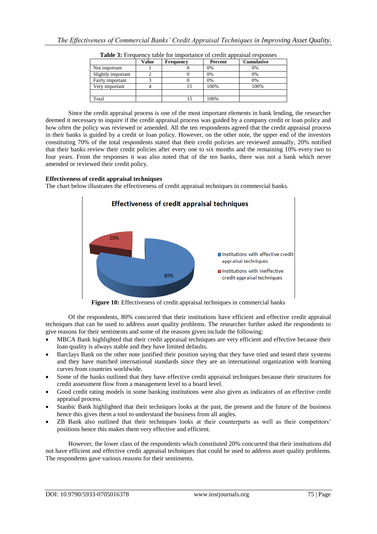|                    | Value | <b>Frequency</b> | Percent | <b>Cumulative</b> |
|--------------------|-------|------------------|---------|-------------------|
| Not important      |       |                  | 0%      | 0%                |
| Slightly important |       |                  | 0%      | 0%                |
| Fairly important   |       |                  | 0%      | 0%                |
| Very important     |       |                  | 100%    | 100%              |
|                    |       |                  |         |                   |
| Total              |       |                  | 100%    |                   |

Since the credit appraisal process is one of the most important elements in bank lending, the researcher deemed it necessary to inquire if the credit appraisal process was guided by a company credit or loan policy and how often the policy was reviewed or amended. All the ten respondents agreed that the credit appraisal process in their banks is guided by a credit or loan policy. However, on the other note, the upper end of the investors constituting 70% of the total respondents stated that their credit policies are reviewed annually, 20% notified that their banks review their credit policies after every one to six months and the remaining 10% every two to four years. From the responses it was also noted that of the ten banks, there was not a bank which never amended or reviewed their credit policy.

#### **Effectiveness of credit appraisal techniques**

The chart below illustrates the effectiveness of credit appraisal techniques in commercial banks.



**Figure 10:** Effectiveness of credit appraisal techniques in commercial banks

Of the respondents, 80% concurred that their institutions have efficient and effective credit appraisal techniques that can be used to address asset quality problems. The researcher further asked the respondents to give reasons for their sentiments and some of the reasons given include the following:

- MBCA Bank highlighted that their credit appraisal techniques are very efficient and effective because their loan quality is always stable and they have limited defaults.
- Barclays Bank on the other note justified their position saying that they have tried and tested their systems and they have matched international standards since they are an international organization with learning curves from countries worldwide.
- Some of the banks outlined that they have effective credit appraisal techniques because their structures for credit assessment flow from a management level to a board level.
- Good credit rating models in some banking institutions were also given as indicators of an effective credit appraisal process.
- Stanbic Bank highlighted that their techniques looks at the past, the present and the future of the business hence this gives them a tool to understand the business from all angles.
- ZB Bank also outlined that their techniques looks at their counterparts as well as their competitors" positions hence this makes them very effective and efficient.

However, the lower class of the respondents which constituted 20% concurred that their institutions did not have efficient and effective credit appraisal techniques that could be used to address asset quality problems. The respondents gave various reasons for their sentiments.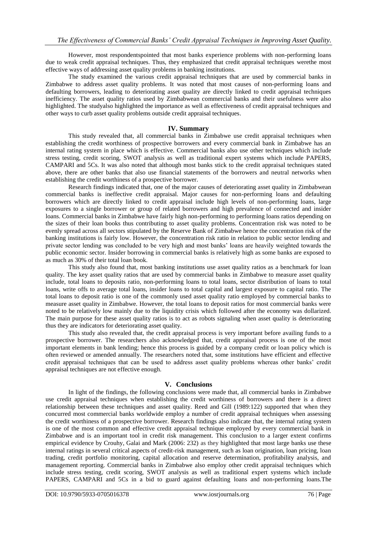However, most respondentspointed that most banks experience problems with non-performing loans due to weak credit appraisal techniques. Thus, they emphasized that credit appraisal techniques werethe most effective ways of addressing asset quality problems in banking institutions.

The study examined the various credit appraisal techniques that are used by commercial banks in Zimbabwe to address asset quality problems. It was noted that most causes of non-performing loans and defaulting borrowers, leading to deteriorating asset quality are directly linked to credit appraisal techniques inefficiency. The asset quality ratios used by Zimbabwean commercial banks and their usefulness were also highlighted. The studyalso highlighted the importance as well as effectiveness of credit appraisal techniques and other ways to curb asset quality problems outside credit appraisal techniques.

# **IV. Summary**

This study revealed that, all commercial banks in Zimbabwe use credit appraisal techniques when establishing the credit worthiness of prospective borrowers and every commercial bank in Zimbabwe has an internal rating system in place which is effective. Commercial banks also use other techniques which include stress testing, credit scoring, SWOT analysis as well as traditional expert systems which include PAPERS, CAMPARI and 5Cs. It was also noted that although most banks stick to the credit appraisal techniques stated above, there are other banks that also use financial statements of the borrowers and neutral networks when establishing the credit worthiness of a prospective borrower.

Research findings indicated that, one of the major causes of deteriorating asset quality in Zimbabwean commercial banks is ineffective credit appraisal. Major causes for non-performing loans and defaulting borrowers which are directly linked to credit appraisal include high levels of non-performing loans, large exposures to a single borrower or group of related borrowers and high prevalence of connected and insider loans. Commercial banks in Zimbabwe have fairly high non-performing to performing loans ratios depending on the sizes of their loan books thus contributing to asset quality problems. Concentration risk was noted to be evenly spread across all sectors stipulated by the Reserve Bank of Zimbabwe hence the concentration risk of the banking institutions is fairly low. However, the concentration risk ratio in relation to public sector lending and private sector lending was concluded to be very high and most banks" loans are heavily weighted towards the public economic sector. Insider borrowing in commercial banks is relatively high as some banks are exposed to as much as 30% of their total loan book.

This study also found that, most banking institutions use asset quality ratios as a benchmark for loan quality. The key asset quality ratios that are used by commercial banks in Zimbabwe to measure asset quality include, total loans to deposits ratio, non-performing loans to total loans, sector distribution of loans to total loans, write offs to average total loans, insider loans to total capital and largest exposure to capital ratio. The total loans to deposit ratio is one of the commonly used asset quality ratio employed by commercial banks to measure asset quality in Zimbabwe. However, the total loans to deposit ratios for most commercial banks were noted to be relatively low mainly due to the liquidity crisis which followed after the economy was dollarized. The main purpose for these asset quality ratios is to act as robots signaling when asset quality is deteriorating thus they are indicators for deteriorating asset quality.

This study also revealed that, the credit appraisal process is very important before availing funds to a prospective borrower. The researchers also acknowledged that, credit appraisal process is one of the most important elements in bank lending; hence this process is guided by a company credit or loan policy which is often reviewed or amended annually. The researchers noted that, some institutions have efficient and effective credit appraisal techniques that can be used to address asset quality problems whereas other banks" credit appraisal techniques are not effective enough.

# **V. Conclusions**

In light of the findings, the following conclusions were made that, all commercial banks in Zimbabwe use credit appraisal techniques when establishing the credit worthiness of borrowers and there is a direct relationship between these techniques and asset quality. Reed and Gill (1989:122) supported that when they concurred most commercial banks worldwide employ a number of credit appraisal techniques when assessing the credit worthiness of a prospective borrower. Research findings also indicate that, the internal rating system is one of the most common and effective credit appraisal technique employed by every commercial bank in Zimbabwe and is an important tool in credit risk management. This conclusion to a larger extent confirms empirical evidence by Crouhy, Galai and Mark (2006: 232) as they highlighted that most large banks use these internal ratings in several critical aspects of credit-risk management, such as loan origination, loan pricing, loan trading, credit portfolio monitoring, capital allocation and reserve determination, profitability analysis, and management reporting. Commercial banks in Zimbabwe also employ other credit appraisal techniques which include stress testing, credit scoring, SWOT analysis as well as traditional expert systems which include PAPERS, CAMPARI and 5Cs in a bid to guard against defaulting loans and non-performing loans.The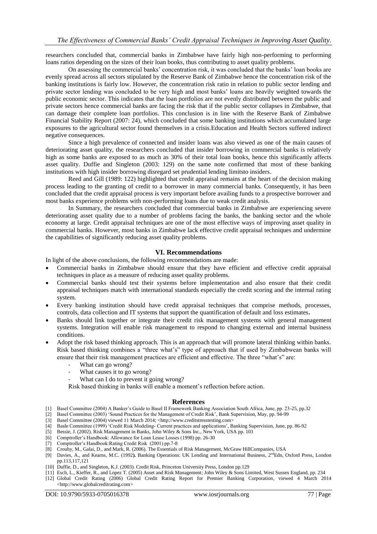researchers concluded that, commercial banks in Zimbabwe have fairly high non-performing to performing loans ratios depending on the sizes of their loan books, thus contributing to asset quality problems.

On assessing the commercial banks" concentration risk, it was concluded that the banks" loan books are evenly spread across all sectors stipulated by the Reserve Bank of Zimbabwe hence the concentration risk of the banking institutions is fairly low. However, the concentration risk ratio in relation to public sector lending and private sector lending was concluded to be very high and most banks" loans are heavily weighted towards the public economic sector. This indicates that the loan portfolios are not evenly distributed between the public and private sectors hence commercial banks are facing the risk that if the public sector collapses in Zimbabwe, that can damage their complete loan portfolios. This conclusion is in line with the Reserve Bank of Zimbabwe Financial Stability Report (2007: 24), which concluded that some banking institutions which accumulated large exposures to the agricultural sector found themselves in a crisis.Education and Health Sectors suffered indirect negative consequences.

Since a high prevalence of connected and insider loans was also viewed as one of the main causes of deteriorating asset quality, the researchers concluded that insider borrowing in commercial banks is relatively high as some banks are exposed to as much as 30% of their total loan books, hence this significantly affects asset quality. Duffie and Singleton (2003: 129) on the same note confirmed that most of these banking institutions with high insider borrowing disregard set prudential lending limitsto insiders.

Reed and Gill (1989: 122) highlighted that credit appraisal remains at the heart of the decision making process leading to the granting of credit to a borrower in many commercial banks. Consequently, it has been concluded that the credit appraisal process is very important before availing funds to a prospective borrower and most banks experience problems with non-performing loans due to weak credit analysis.

In Summary, the researchers concluded that commercial banks in Zimbabwe are experiencing severe deteriorating asset quality due to a number of problems facing the banks, the banking sector and the whole economy at large. Credit appraisal techniques are one of the most effective ways of improving asset quality in commercial banks. However, most banks in Zimbabwe lack effective credit appraisal techniques and undermine the capabilities of significantly reducing asset quality problems.

#### **VI. Recommendations**

In light of the above conclusions, the following recommendations are made:

- Commercial banks in Zimbabwe should ensure that they have efficient and effective credit appraisal techniques in place as a measure of reducing asset quality problems.
- Commercial banks should test their systems before implementation and also ensure that their credit appraisal techniques match with international standards especially the credit scoring and the internal rating system.
- Every banking institution should have credit appraisal techniques that comprise methods, processes, controls, data collection and IT systems that support the quantification of default and loss estimates**.**
- Banks should link together or integrate their credit risk management systems with general management systems. Integration will enable risk management to respond to changing external and internal business conditions.
- Adopt the risk based thinking approach. This is an approach that will promote lateral thinking within banks. Risk based thinking combines a "three what's" type of approach that if used by Zimbabwean banks will ensure that their risk management practices are efficient and effective. The three "what"s" are:
	- What can go wrong?
	- What causes it to go wrong?
	- What can I do to prevent it going wrong?

Risk based thinking in banks will enable a moment"s reflection before action.

#### **References**

- [1] Basel Committee (2004) A Banker"s Guide to Basel II Framework Banking Association South Africa, June, pp. 23-25, pp.32
- [2] Basel Committee (2003) "Sound Practices for the Management of Credit Risk", Bank Supervision, May, pp. 94-99
- [3] Basel Committee (2004) viewed 11 March 2014; [<http://www.creditstresstesting.com>](http://www.creditstresstesting.com/)
- [4] Basle Committee (1999) "Credit Risk Modeling- Current practices and applications", Banking Supervision, June, pp. 86-92
- [5] Bessie, J. (2002). Risk Management in Banks, John Wiley & Sons Inc., New York, USA pp. 103
- [6] Comptroller"s Handbook: Allowance for Loan Lease Losses (1998) pp. 26-30
- [7] Comptroller"s Handbook:Rating Credit Risk (2001) pp.7-8
- [8] Crouhy, M., Galai, D., and Mark, R. (2006). The Essentials of Risk Management, McGraw HillCompanies, USA
- [9] Davies, A., and Kearns, M.C. (1992). Banking Operations: UK Lending and International Business, 2<sup>nd</sup>Edn, Oxford Press, London pp.113,117,121
- [10] Duffie, D., and Singleton, K.J. (2003). Credit Risk, Princeton University Press, London pp.129
- [11] Esch, L., Kieffer, R., and Lopez T. (2005) Asset and Risk Management; John Wiley & Sons Limited, West Sussex England, pp. 234 [12] Global Credit Rating (2006) Global Credit Rating Report for Premier Banking Corporation, viewed 4 March 2014 [<http://www.globalcreditrating.com>](http://www.globalcreditrating.com/)